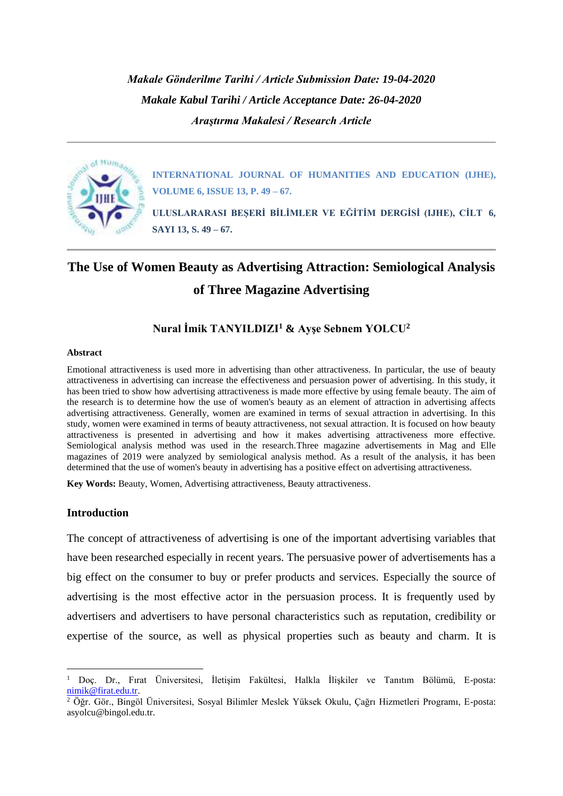*Makale Gönderilme Tarihi / Article Submission Date: 19-04-2020 Makale Kabul Tarihi / Article Acceptance Date: 26-04-2020 Araştırma Makalesi / Research Article*



**INTERNATIONAL JOURNAL OF HUMANITIES AND EDUCATION (IJHE), VOLUME 6, ISSUE 13, P. 49 – 67.**

**ULUSLARARASI BEŞERİ BİLİMLER VE EĞİTİM DERGİSİ (IJHE), CİLT 6, SAYI 13, S. 49 – 67.**

# **The Use of Women Beauty as Advertising Attraction: Semiological Analysis of Three Magazine Advertising**

## **Nural İmik TANYILDIZI<sup>1</sup> & Ayşe Sebnem YOLCU<sup>2</sup>**

#### **Abstract**

Emotional attractiveness is used more in advertising than other attractiveness. In particular, the use of beauty attractiveness in advertising can increase the effectiveness and persuasion power of advertising. In this study, it has been tried to show how advertising attractiveness is made more effective by using female beauty. The aim of the research is to determine how the use of women's beauty as an element of attraction in advertising affects advertising attractiveness. Generally, women are examined in terms of sexual attraction in advertising. In this study, women were examined in terms of beauty attractiveness, not sexual attraction. It is focused on how beauty attractiveness is presented in advertising and how it makes advertising attractiveness more effective. Semiological analysis method was used in the research.Three magazine advertisements in Mag and Elle magazines of 2019 were analyzed by semiological analysis method. As a result of the analysis, it has been determined that the use of women's beauty in advertising has a positive effect on advertising attractiveness.

**Key Words:** Beauty, Women, Advertising attractiveness, Beauty attractiveness.

## **Introduction**

The concept of attractiveness of advertising is one of the important advertising variables that have been researched especially in recent years. The persuasive power of advertisements has a big effect on the consumer to buy or prefer products and services. Especially the source of advertising is the most effective actor in the persuasion process. It is frequently used by advertisers and advertisers to have personal characteristics such as reputation, credibility or expertise of the source, as well as physical properties such as beauty and charm. It is

<sup>1</sup> Doç. Dr., Fırat Üniversitesi, İletişim Fakültesi, Halkla İlişkiler ve Tanıtım Bölümü, E-posta: [nimik@firat.edu.tr.](mailto:nimik@firat.edu.tr)

 $\frac{2}{3}$  Öğr. Gör., Bingöl Üniversitesi, Sosyal Bilimler Meslek Yüksek Okulu, Çağrı Hizmetleri Programı, E-posta: asyolcu@bingol.edu.tr.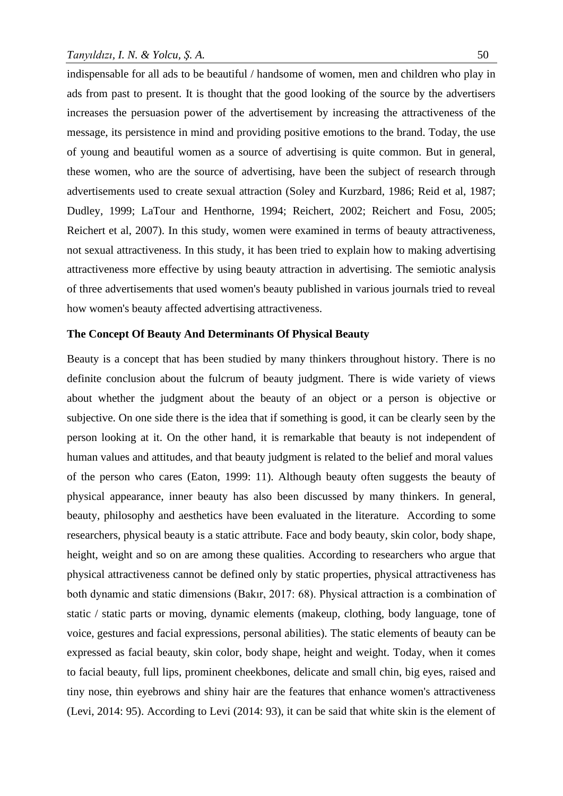indispensable for all ads to be beautiful / handsome of women, men and children who play in ads from past to present. It is thought that the good looking of the source by the advertisers increases the persuasion power of the advertisement by increasing the attractiveness of the message, its persistence in mind and providing positive emotions to the brand. Today, the use of young and beautiful women as a source of advertising is quite common. But in general, these women, who are the source of advertising, have been the subject of research through advertisements used to create sexual attraction (Soley and Kurzbard, 1986; Reid et al, 1987; Dudley, 1999; LaTour and Henthorne, 1994; Reichert, 2002; Reichert and Fosu, 2005; Reichert et al, 2007). In this study, women were examined in terms of beauty attractiveness, not sexual attractiveness. In this study, it has been tried to explain how to making advertising attractiveness more effective by using beauty attraction in advertising. The semiotic analysis of three advertisements that used women's beauty published in various journals tried to reveal how women's beauty affected advertising attractiveness.

#### **The Concept Of Beauty And Determinants Of Physical Beauty**

Beauty is a concept that has been studied by many thinkers throughout history. There is no definite conclusion about the fulcrum of beauty judgment. There is wide variety of views about whether the judgment about the beauty of an object or a person is objective or subjective. On one side there is the idea that if something is good, it can be clearly seen by the person looking at it. On the other hand, it is remarkable that beauty is not independent of human values and attitudes, and that beauty judgment is related to the belief and moral values of the person who cares (Eaton, 1999: 11). Although beauty often suggests the beauty of physical appearance, inner beauty has also been discussed by many thinkers. In general, beauty, philosophy and aesthetics have been evaluated in the literature. According to some researchers, physical beauty is a static attribute. Face and body beauty, skin color, body shape, height, weight and so on are among these qualities. According to researchers who argue that physical attractiveness cannot be defined only by static properties, physical attractiveness has both dynamic and static dimensions (Bakır, 2017: 68). Physical attraction is a combination of static / static parts or moving, dynamic elements (makeup, clothing, body language, tone of voice, gestures and facial expressions, personal abilities). The static elements of beauty can be expressed as facial beauty, skin color, body shape, height and weight. Today, when it comes to facial beauty, full lips, prominent cheekbones, delicate and small chin, big eyes, raised and tiny nose, thin eyebrows and shiny hair are the features that enhance women's attractiveness (Levi, 2014: 95). According to Levi (2014: 93), it can be said that white skin is the element of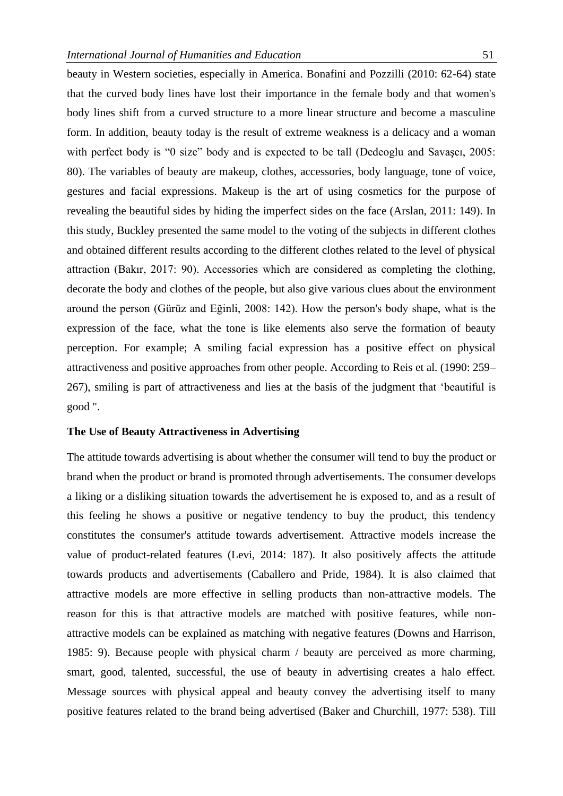beauty in Western societies, especially in America. Bonafini and Pozzilli (2010: 62-64) state that the curved body lines have lost their importance in the female body and that women's body lines shift from a curved structure to a more linear structure and become a masculine form. In addition, beauty today is the result of extreme weakness is a delicacy and a woman with perfect body is "0 size" body and is expected to be tall (Dedeoglu and Savasci, 2005: 80). The variables of beauty are makeup, clothes, accessories, body language, tone of voice, gestures and facial expressions. Makeup is the art of using cosmetics for the purpose of revealing the beautiful sides by hiding the imperfect sides on the face (Arslan, 2011: 149). In this study, Buckley presented the same model to the voting of the subjects in different clothes and obtained different results according to the different clothes related to the level of physical attraction (Bakır, 2017: 90). Accessories which are considered as completing the clothing, decorate the body and clothes of the people, but also give various clues about the environment around the person (Gürüz and Eğinli, 2008: 142). How the person's body shape, what is the expression of the face, what the tone is like elements also serve the formation of beauty perception. For example; A smiling facial expression has a positive effect on physical attractiveness and positive approaches from other people. According to Reis et al. (1990: 259– 267), smiling is part of attractiveness and lies at the basis of the judgment that 'beautiful is good ".

## **The Use of Beauty Attractiveness in Advertising**

The attitude towards advertising is about whether the consumer will tend to buy the product or brand when the product or brand is promoted through advertisements. The consumer develops a liking or a disliking situation towards the advertisement he is exposed to, and as a result of this feeling he shows a positive or negative tendency to buy the product, this tendency constitutes the consumer's attitude towards advertisement. Attractive models increase the value of product-related features (Levi, 2014: 187). It also positively affects the attitude towards products and advertisements (Caballero and Pride, 1984). It is also claimed that attractive models are more effective in selling products than non-attractive models. The reason for this is that attractive models are matched with positive features, while nonattractive models can be explained as matching with negative features (Downs and Harrison, 1985: 9). Because people with physical charm / beauty are perceived as more charming, smart, good, talented, successful, the use of beauty in advertising creates a halo effect. Message sources with physical appeal and beauty convey the advertising itself to many positive features related to the brand being advertised (Baker and Churchill, 1977: 538). Till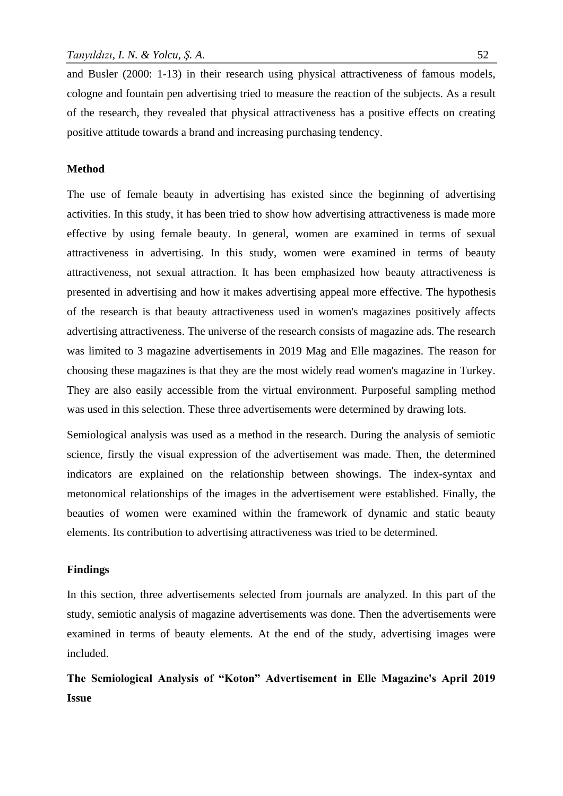and Busler (2000: 1-13) in their research using physical attractiveness of famous models, cologne and fountain pen advertising tried to measure the reaction of the subjects. As a result of the research, they revealed that physical attractiveness has a positive effects on creating positive attitude towards a brand and increasing purchasing tendency.

#### **Method**

The use of female beauty in advertising has existed since the beginning of advertising activities. In this study, it has been tried to show how advertising attractiveness is made more effective by using female beauty. In general, women are examined in terms of sexual attractiveness in advertising. In this study, women were examined in terms of beauty attractiveness, not sexual attraction. It has been emphasized how beauty attractiveness is presented in advertising and how it makes advertising appeal more effective. The hypothesis of the research is that beauty attractiveness used in women's magazines positively affects advertising attractiveness. The universe of the research consists of magazine ads. The research was limited to 3 magazine advertisements in 2019 Mag and Elle magazines. The reason for choosing these magazines is that they are the most widely read women's magazine in Turkey. They are also easily accessible from the virtual environment. Purposeful sampling method was used in this selection. These three advertisements were determined by drawing lots.

Semiological analysis was used as a method in the research. During the analysis of semiotic science, firstly the visual expression of the advertisement was made. Then, the determined indicators are explained on the relationship between showings. The index-syntax and metonomical relationships of the images in the advertisement were established. Finally, the beauties of women were examined within the framework of dynamic and static beauty elements. Its contribution to advertising attractiveness was tried to be determined.

#### **Findings**

In this section, three advertisements selected from journals are analyzed. In this part of the study, semiotic analysis of magazine advertisements was done. Then the advertisements were examined in terms of beauty elements. At the end of the study, advertising images were included.

**The Semiological Analysis of "Koton" Advertisement in Elle Magazine's April 2019 Issue**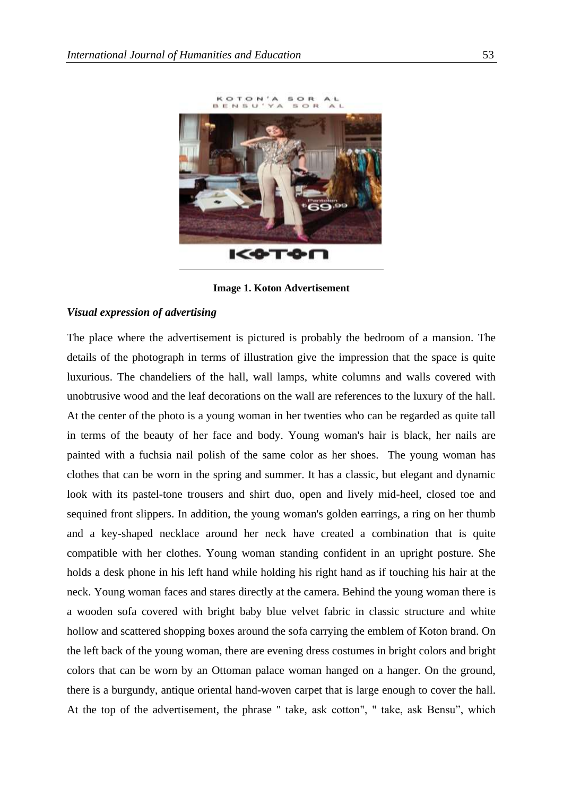

**Image 1. Koton Advertisement**

## *Visual expression of advertising*

The place where the advertisement is pictured is probably the bedroom of a mansion. The details of the photograph in terms of illustration give the impression that the space is quite luxurious. The chandeliers of the hall, wall lamps, white columns and walls covered with unobtrusive wood and the leaf decorations on the wall are references to the luxury of the hall. At the center of the photo is a young woman in her twenties who can be regarded as quite tall in terms of the beauty of her face and body. Young woman's hair is black, her nails are painted with a fuchsia nail polish of the same color as her shoes. The young woman has clothes that can be worn in the spring and summer. It has a classic, but elegant and dynamic look with its pastel-tone trousers and shirt duo, open and lively mid-heel, closed toe and sequined front slippers. In addition, the young woman's golden earrings, a ring on her thumb and a key-shaped necklace around her neck have created a combination that is quite compatible with her clothes. Young woman standing confident in an upright posture. She holds a desk phone in his left hand while holding his right hand as if touching his hair at the neck. Young woman faces and stares directly at the camera. Behind the young woman there is a wooden sofa covered with bright baby blue velvet fabric in classic structure and white hollow and scattered shopping boxes around the sofa carrying the emblem of Koton brand. On the left back of the young woman, there are evening dress costumes in bright colors and bright colors that can be worn by an Ottoman palace woman hanged on a hanger. On the ground, there is a burgundy, antique oriental hand-woven carpet that is large enough to cover the hall. At the top of the advertisement, the phrase " take, ask cotton", " take, ask Bensu", which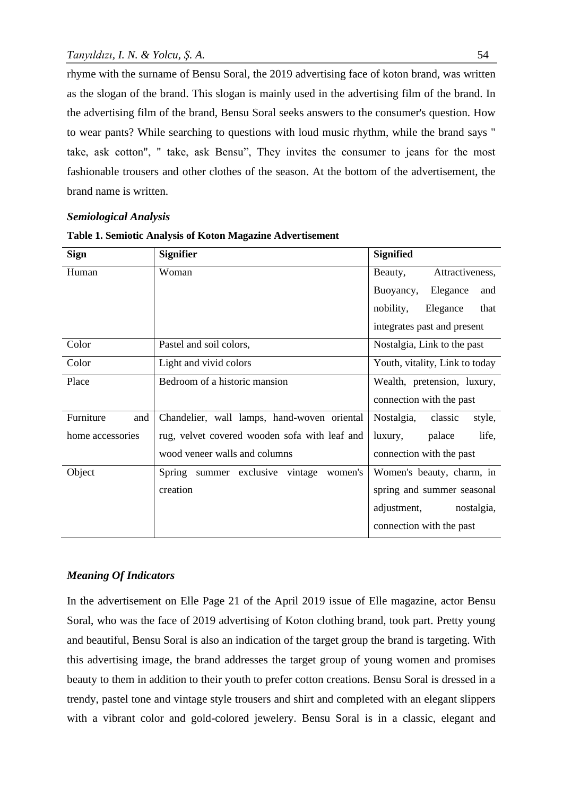rhyme with the surname of Bensu Soral, the 2019 advertising face of koton brand, was written as the slogan of the brand. This slogan is mainly used in the advertising film of the brand. In the advertising film of the brand, Bensu Soral seeks answers to the consumer's question. How to wear pants? While searching to questions with loud music rhythm, while the brand says " take, ask cotton", " take, ask Bensu", They invites the consumer to jeans for the most fashionable trousers and other clothes of the season. At the bottom of the advertisement, the brand name is written.

## *Semiological Analysis*

| <b>Sign</b>      | <b>Signifier</b>                              | <b>Signified</b>                |
|------------------|-----------------------------------------------|---------------------------------|
| Human            | Woman                                         | Attractiveness,<br>Beauty,      |
|                  |                                               | Buoyancy,<br>Elegance<br>and    |
|                  |                                               | nobility,<br>Elegance<br>that   |
|                  |                                               | integrates past and present     |
| Color            | Pastel and soil colors,                       | Nostalgia, Link to the past     |
| Color            | Light and vivid colors                        | Youth, vitality, Link to today  |
| Place            | Bedroom of a historic mansion                 | Wealth, pretension, luxury,     |
|                  |                                               | connection with the past        |
| Furniture<br>and | Chandelier, wall lamps, hand-woven oriental   | Nostalgia,<br>classic<br>style, |
| home accessories | rug, velvet covered wooden sofa with leaf and | life,<br>palace<br>luxury,      |
|                  | wood veneer walls and columns                 | connection with the past        |
| Object           | summer exclusive vintage<br>Spring<br>women's | Women's beauty, charm, in       |
|                  | creation                                      | spring and summer seasonal      |
|                  |                                               | adjustment,<br>nostalgia,       |
|                  |                                               | connection with the past        |

#### **Table 1. Semiotic Analysis of Koton Magazine Advertisement**

### *Meaning Of Indicators*

In the advertisement on Elle Page 21 of the April 2019 issue of Elle magazine, actor Bensu Soral, who was the face of 2019 advertising of Koton clothing brand, took part. Pretty young and beautiful, Bensu Soral is also an indication of the target group the brand is targeting. With this advertising image, the brand addresses the target group of young women and promises beauty to them in addition to their youth to prefer cotton creations. Bensu Soral is dressed in a trendy, pastel tone and vintage style trousers and shirt and completed with an elegant slippers with a vibrant color and gold-colored jewelery. Bensu Soral is in a classic, elegant and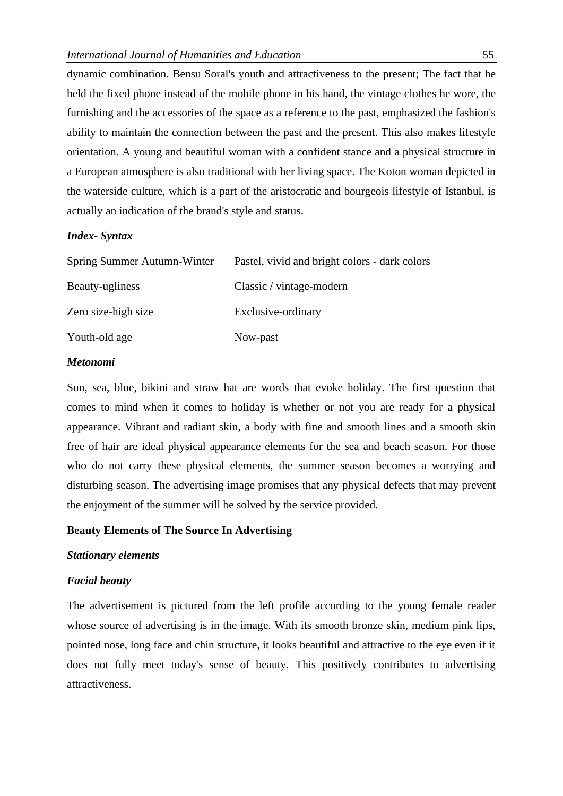dynamic combination. Bensu Soral's youth and attractiveness to the present; The fact that he held the fixed phone instead of the mobile phone in his hand, the vintage clothes he wore, the furnishing and the accessories of the space as a reference to the past, emphasized the fashion's ability to maintain the connection between the past and the present. This also makes lifestyle orientation. A young and beautiful woman with a confident stance and a physical structure in a European atmosphere is also traditional with her living space. The Koton woman depicted in the waterside culture, which is a part of the aristocratic and bourgeois lifestyle of Istanbul, is actually an indication of the brand's style and status.

#### *Index- Syntax*

| Spring Summer Autumn-Winter | Pastel, vivid and bright colors - dark colors |
|-----------------------------|-----------------------------------------------|
| Beauty-ugliness             | Classic / vintage-modern                      |
| Zero size-high size         | Exclusive-ordinary                            |
| Youth-old age               | Now-past                                      |

#### *Metonomi*

Sun, sea, blue, bikini and straw hat are words that evoke holiday. The first question that comes to mind when it comes to holiday is whether or not you are ready for a physical appearance. Vibrant and radiant skin, a body with fine and smooth lines and a smooth skin free of hair are ideal physical appearance elements for the sea and beach season. For those who do not carry these physical elements, the summer season becomes a worrying and disturbing season. The advertising image promises that any physical defects that may prevent the enjoyment of the summer will be solved by the service provided.

#### **Beauty Elements of The Source In Advertising**

#### *Stationary elements*

#### *Facial beauty*

The advertisement is pictured from the left profile according to the young female reader whose source of advertising is in the image. With its smooth bronze skin, medium pink lips, pointed nose, long face and chin structure, it looks beautiful and attractive to the eye even if it does not fully meet today's sense of beauty. This positively contributes to advertising attractiveness.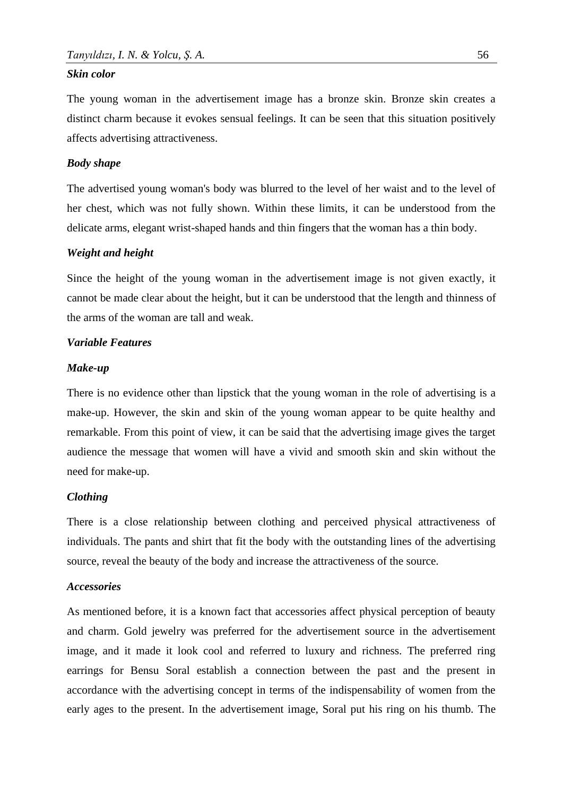#### *Skin color*

The young woman in the advertisement image has a bronze skin. Bronze skin creates a distinct charm because it evokes sensual feelings. It can be seen that this situation positively affects advertising attractiveness.

#### *Body shape*

The advertised young woman's body was blurred to the level of her waist and to the level of her chest, which was not fully shown. Within these limits, it can be understood from the delicate arms, elegant wrist-shaped hands and thin fingers that the woman has a thin body.

#### *Weight and height*

Since the height of the young woman in the advertisement image is not given exactly, it cannot be made clear about the height, but it can be understood that the length and thinness of the arms of the woman are tall and weak.

#### *Variable Features*

#### *Make-up*

There is no evidence other than lipstick that the young woman in the role of advertising is a make-up. However, the skin and skin of the young woman appear to be quite healthy and remarkable. From this point of view, it can be said that the advertising image gives the target audience the message that women will have a vivid and smooth skin and skin without the need for make-up.

#### *Clothing*

There is a close relationship between clothing and perceived physical attractiveness of individuals. The pants and shirt that fit the body with the outstanding lines of the advertising source, reveal the beauty of the body and increase the attractiveness of the source.

#### *Accessories*

As mentioned before, it is a known fact that accessories affect physical perception of beauty and charm. Gold jewelry was preferred for the advertisement source in the advertisement image, and it made it look cool and referred to luxury and richness. The preferred ring earrings for Bensu Soral establish a connection between the past and the present in accordance with the advertising concept in terms of the indispensability of women from the early ages to the present. In the advertisement image, Soral put his ring on his thumb. The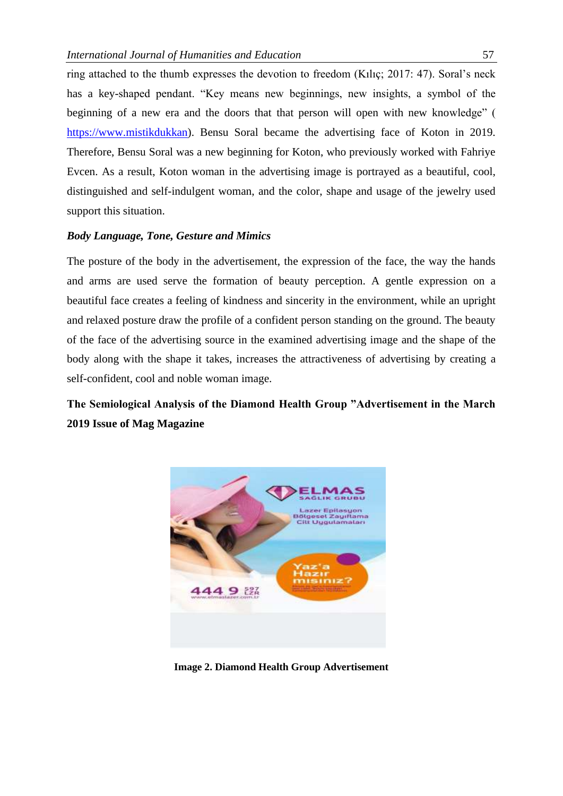ring attached to the thumb expresses the devotion to freedom (Kılıç; 2017: 47). Soral's neck has a key-shaped pendant. "Key means new beginnings, new insights, a symbol of the beginning of a new era and the doors that that person will open with new knowledge" ( [https://www.mistikdukkan\)](https://www.mistikdukkan/). Bensu Soral became the advertising face of Koton in 2019. Therefore, Bensu Soral was a new beginning for Koton, who previously worked with Fahriye Evcen. As a result, Koton woman in the advertising image is portrayed as a beautiful, cool, distinguished and self-indulgent woman, and the color, shape and usage of the jewelry used support this situation.

#### *Body Language, Tone, Gesture and Mimics*

The posture of the body in the advertisement, the expression of the face, the way the hands and arms are used serve the formation of beauty perception. A gentle expression on a beautiful face creates a feeling of kindness and sincerity in the environment, while an upright and relaxed posture draw the profile of a confident person standing on the ground. The beauty of the face of the advertising source in the examined advertising image and the shape of the body along with the shape it takes, increases the attractiveness of advertising by creating a self-confident, cool and noble woman image.

## **The Semiological Analysis of the Diamond Health Group "Advertisement in the March 2019 Issue of Mag Magazine**



**Image 2. Diamond Health Group Advertisement**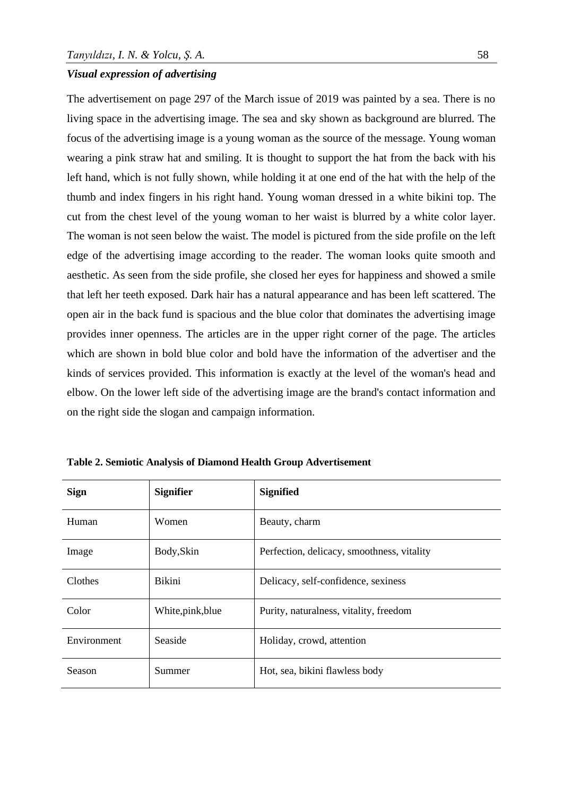#### *Visual expression of advertising*

The advertisement on page 297 of the March issue of 2019 was painted by a sea. There is no living space in the advertising image. The sea and sky shown as background are blurred. The focus of the advertising image is a young woman as the source of the message. Young woman wearing a pink straw hat and smiling. It is thought to support the hat from the back with his left hand, which is not fully shown, while holding it at one end of the hat with the help of the thumb and index fingers in his right hand. Young woman dressed in a white bikini top. The cut from the chest level of the young woman to her waist is blurred by a white color layer. The woman is not seen below the waist. The model is pictured from the side profile on the left edge of the advertising image according to the reader. The woman looks quite smooth and aesthetic. As seen from the side profile, she closed her eyes for happiness and showed a smile that left her teeth exposed. Dark hair has a natural appearance and has been left scattered. The open air in the back fund is spacious and the blue color that dominates the advertising image provides inner openness. The articles are in the upper right corner of the page. The articles which are shown in bold blue color and bold have the information of the advertiser and the kinds of services provided. This information is exactly at the level of the woman's head and elbow. On the lower left side of the advertising image are the brand's contact information and on the right side the slogan and campaign information.

| <b>Sign</b>   | <b>Signifier</b>  | <b>Signified</b>                           |
|---------------|-------------------|--------------------------------------------|
| Human         | Women             | Beauty, charm                              |
| Image         | Body, Skin        | Perfection, delicacy, smoothness, vitality |
| Clothes       | Bikini            | Delicacy, self-confidence, sexiness        |
| Color         | White, pink, blue | Purity, naturalness, vitality, freedom     |
| Environment   | Seaside           | Holiday, crowd, attention                  |
| <b>Season</b> | Summer            | Hot, sea, bikini flawless body             |

**Table 2. Semiotic Analysis of Diamond Health Group Advertisement**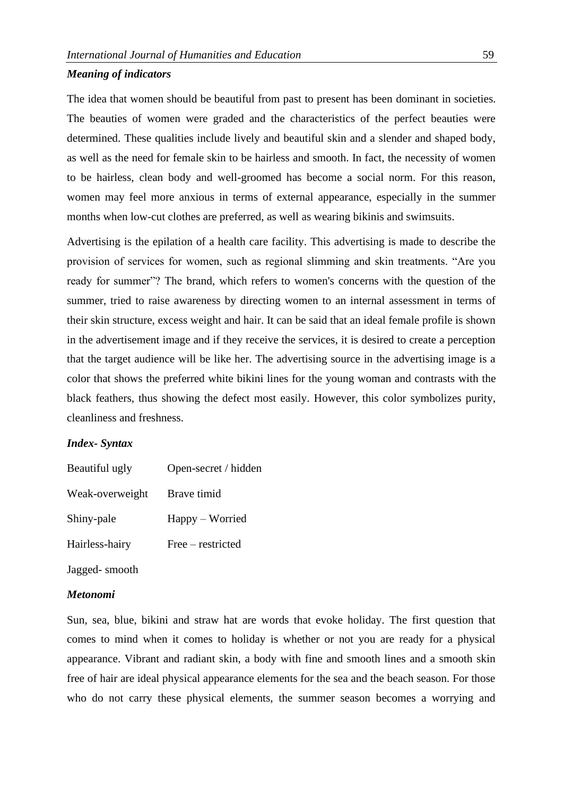#### *Meaning of indicators*

The idea that women should be beautiful from past to present has been dominant in societies. The beauties of women were graded and the characteristics of the perfect beauties were determined. These qualities include lively and beautiful skin and a slender and shaped body, as well as the need for female skin to be hairless and smooth. In fact, the necessity of women to be hairless, clean body and well-groomed has become a social norm. For this reason, women may feel more anxious in terms of external appearance, especially in the summer months when low-cut clothes are preferred, as well as wearing bikinis and swimsuits.

Advertising is the epilation of a health care facility. This advertising is made to describe the provision of services for women, such as regional slimming and skin treatments. "Are you ready for summer"? The brand, which refers to women's concerns with the question of the summer, tried to raise awareness by directing women to an internal assessment in terms of their skin structure, excess weight and hair. It can be said that an ideal female profile is shown in the advertisement image and if they receive the services, it is desired to create a perception that the target audience will be like her. The advertising source in the advertising image is a color that shows the preferred white bikini lines for the young woman and contrasts with the black feathers, thus showing the defect most easily. However, this color symbolizes purity, cleanliness and freshness.

#### *Index- Syntax*

| Beautiful ugly  | Open-secret / hidden |  |
|-----------------|----------------------|--|
| Weak-overweight | Brave timid          |  |
| Shiny-pale      | Happy – Worried      |  |
| Hairless-hairy  | Free – restricted    |  |

Jagged- smooth

#### *Metonomi*

Sun, sea, blue, bikini and straw hat are words that evoke holiday. The first question that comes to mind when it comes to holiday is whether or not you are ready for a physical appearance. Vibrant and radiant skin, a body with fine and smooth lines and a smooth skin free of hair are ideal physical appearance elements for the sea and the beach season. For those who do not carry these physical elements, the summer season becomes a worrying and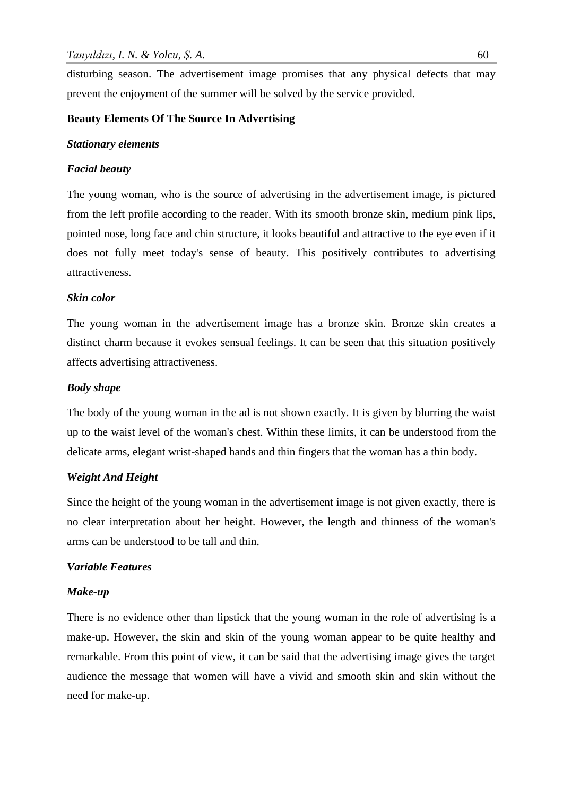disturbing season. The advertisement image promises that any physical defects that may prevent the enjoyment of the summer will be solved by the service provided.

## **Beauty Elements Of The Source In Advertising**

## *Stationary elements*

## *Facial beauty*

The young woman, who is the source of advertising in the advertisement image, is pictured from the left profile according to the reader. With its smooth bronze skin, medium pink lips, pointed nose, long face and chin structure, it looks beautiful and attractive to the eye even if it does not fully meet today's sense of beauty. This positively contributes to advertising attractiveness.

## *Skin color*

The young woman in the advertisement image has a bronze skin. Bronze skin creates a distinct charm because it evokes sensual feelings. It can be seen that this situation positively affects advertising attractiveness.

## *Body shape*

The body of the young woman in the ad is not shown exactly. It is given by blurring the waist up to the waist level of the woman's chest. Within these limits, it can be understood from the delicate arms, elegant wrist-shaped hands and thin fingers that the woman has a thin body.

## *Weight And Height*

Since the height of the young woman in the advertisement image is not given exactly, there is no clear interpretation about her height. However, the length and thinness of the woman's arms can be understood to be tall and thin.

## *Variable Features*

#### *Make-up*

There is no evidence other than lipstick that the young woman in the role of advertising is a make-up. However, the skin and skin of the young woman appear to be quite healthy and remarkable. From this point of view, it can be said that the advertising image gives the target audience the message that women will have a vivid and smooth skin and skin without the need for make-up.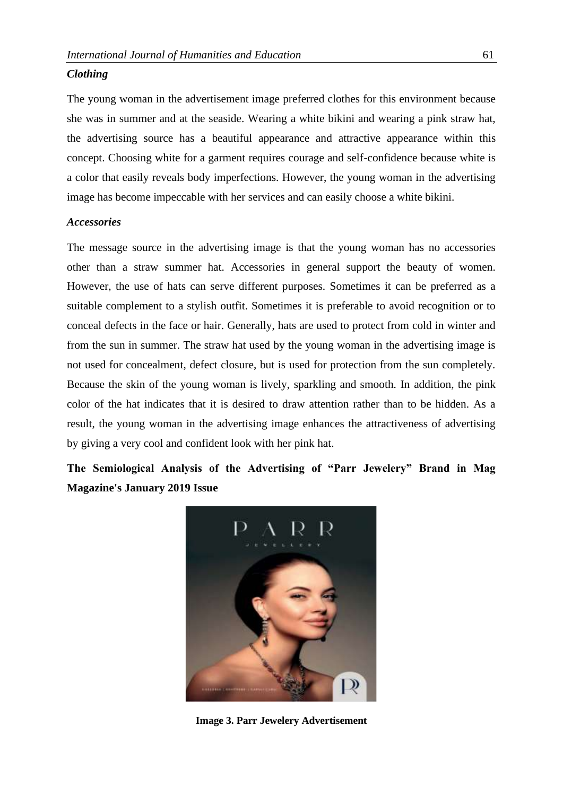#### *Clothing*

The young woman in the advertisement image preferred clothes for this environment because she was in summer and at the seaside. Wearing a white bikini and wearing a pink straw hat, the advertising source has a beautiful appearance and attractive appearance within this concept. Choosing white for a garment requires courage and self-confidence because white is a color that easily reveals body imperfections. However, the young woman in the advertising image has become impeccable with her services and can easily choose a white bikini.

## *Accessories*

The message source in the advertising image is that the young woman has no accessories other than a straw summer hat. Accessories in general support the beauty of women. However, the use of hats can serve different purposes. Sometimes it can be preferred as a suitable complement to a stylish outfit. Sometimes it is preferable to avoid recognition or to conceal defects in the face or hair. Generally, hats are used to protect from cold in winter and from the sun in summer. The straw hat used by the young woman in the advertising image is not used for concealment, defect closure, but is used for protection from the sun completely. Because the skin of the young woman is lively, sparkling and smooth. In addition, the pink color of the hat indicates that it is desired to draw attention rather than to be hidden. As a result, the young woman in the advertising image enhances the attractiveness of advertising by giving a very cool and confident look with her pink hat.

**The Semiological Analysis of the Advertising of "Parr Jewelery" Brand in Mag Magazine's January 2019 Issue**



**Image 3. Parr Jewelery Advertisement**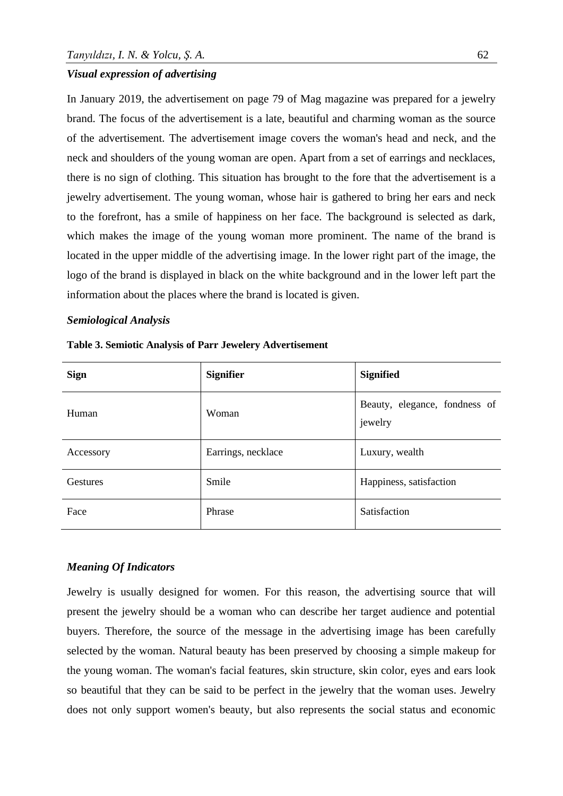#### *Visual expression of advertising*

In January 2019, the advertisement on page 79 of Mag magazine was prepared for a jewelry brand. The focus of the advertisement is a late, beautiful and charming woman as the source of the advertisement. The advertisement image covers the woman's head and neck, and the neck and shoulders of the young woman are open. Apart from a set of earrings and necklaces, there is no sign of clothing. This situation has brought to the fore that the advertisement is a jewelry advertisement. The young woman, whose hair is gathered to bring her ears and neck to the forefront, has a smile of happiness on her face. The background is selected as dark, which makes the image of the young woman more prominent. The name of the brand is located in the upper middle of the advertising image. In the lower right part of the image, the logo of the brand is displayed in black on the white background and in the lower left part the information about the places where the brand is located is given.

## *Semiological Analysis*

| <b>Sign</b>     | <b>Signifier</b>   | <b>Signified</b>                         |
|-----------------|--------------------|------------------------------------------|
| Human           | Woman              | Beauty, elegance, fondness of<br>jewelry |
| Accessory       | Earrings, necklace | Luxury, wealth                           |
| <b>Gestures</b> | Smile              | Happiness, satisfaction                  |
| Face            | Phrase             | Satisfaction                             |

**Table 3. Semiotic Analysis of Parr Jewelery Advertisement**

#### *Meaning Of Indicators*

Jewelry is usually designed for women. For this reason, the advertising source that will present the jewelry should be a woman who can describe her target audience and potential buyers. Therefore, the source of the message in the advertising image has been carefully selected by the woman. Natural beauty has been preserved by choosing a simple makeup for the young woman. The woman's facial features, skin structure, skin color, eyes and ears look so beautiful that they can be said to be perfect in the jewelry that the woman uses. Jewelry does not only support women's beauty, but also represents the social status and economic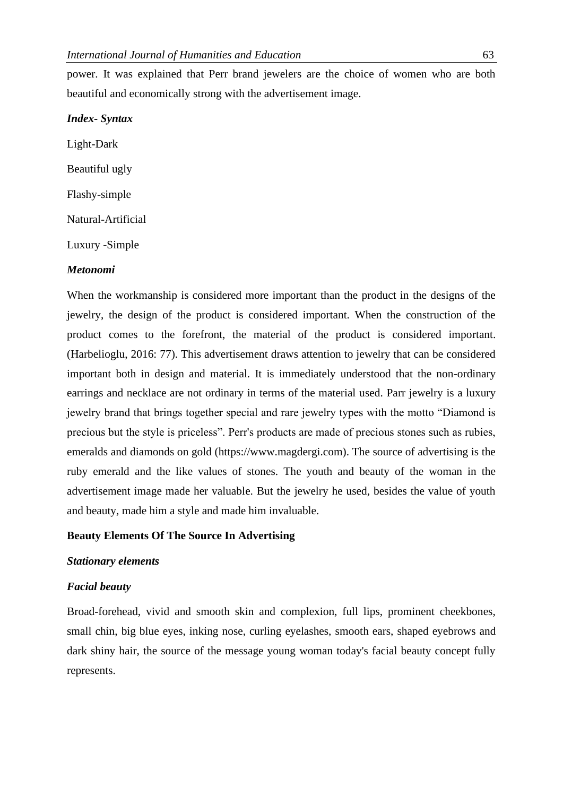power. It was explained that Perr brand jewelers are the choice of women who are both beautiful and economically strong with the advertisement image.

#### *Index- Syntax*

Light-Dark Beautiful ugly Flashy-simple Natural-Artificial Luxury -Simple

## *Metonomi*

When the workmanship is considered more important than the product in the designs of the jewelry, the design of the product is considered important. When the construction of the product comes to the forefront, the material of the product is considered important. (Harbelioglu, 2016: 77). This advertisement draws attention to jewelry that can be considered important both in design and material. It is immediately understood that the non-ordinary earrings and necklace are not ordinary in terms of the material used. Parr jewelry is a luxury jewelry brand that brings together special and rare jewelry types with the motto "Diamond is precious but the style is priceless". Perr's products are made of precious stones such as rubies, emeralds and diamonds on gold (https://www.magdergi.com). The source of advertising is the ruby emerald and the like values of stones. The youth and beauty of the woman in the advertisement image made her valuable. But the jewelry he used, besides the value of youth and beauty, made him a style and made him invaluable.

### **Beauty Elements Of The Source In Advertising**

#### *Stationary elements*

#### *Facial beauty*

Broad-forehead, vivid and smooth skin and complexion, full lips, prominent cheekbones, small chin, big blue eyes, inking nose, curling eyelashes, smooth ears, shaped eyebrows and dark shiny hair, the source of the message young woman today's facial beauty concept fully represents.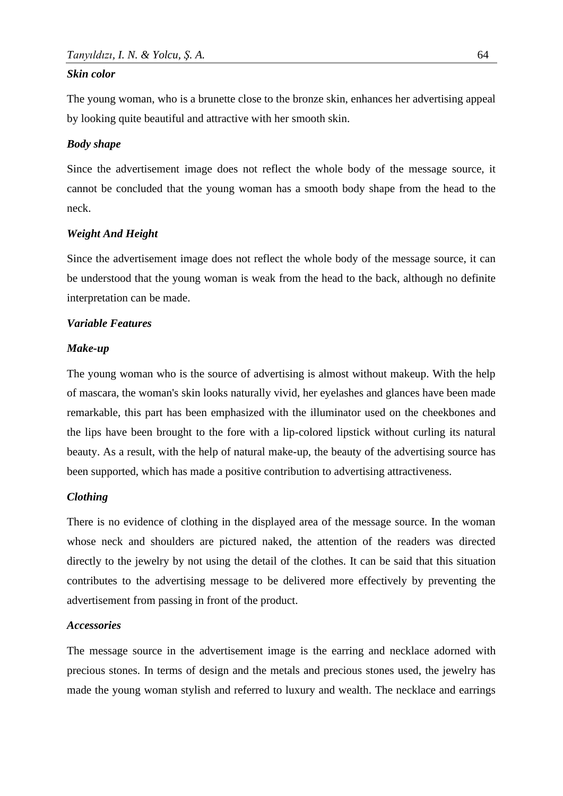#### *Skin color*

The young woman, who is a brunette close to the bronze skin, enhances her advertising appeal by looking quite beautiful and attractive with her smooth skin.

#### *Body shape*

Since the advertisement image does not reflect the whole body of the message source, it cannot be concluded that the young woman has a smooth body shape from the head to the neck.

#### *Weight And Height*

Since the advertisement image does not reflect the whole body of the message source, it can be understood that the young woman is weak from the head to the back, although no definite interpretation can be made.

#### *Variable Features*

#### *Make-up*

The young woman who is the source of advertising is almost without makeup. With the help of mascara, the woman's skin looks naturally vivid, her eyelashes and glances have been made remarkable, this part has been emphasized with the illuminator used on the cheekbones and the lips have been brought to the fore with a lip-colored lipstick without curling its natural beauty. As a result, with the help of natural make-up, the beauty of the advertising source has been supported, which has made a positive contribution to advertising attractiveness.

## *Clothing*

There is no evidence of clothing in the displayed area of the message source. In the woman whose neck and shoulders are pictured naked, the attention of the readers was directed directly to the jewelry by not using the detail of the clothes. It can be said that this situation contributes to the advertising message to be delivered more effectively by preventing the advertisement from passing in front of the product.

#### *Accessories*

The message source in the advertisement image is the earring and necklace adorned with precious stones. In terms of design and the metals and precious stones used, the jewelry has made the young woman stylish and referred to luxury and wealth. The necklace and earrings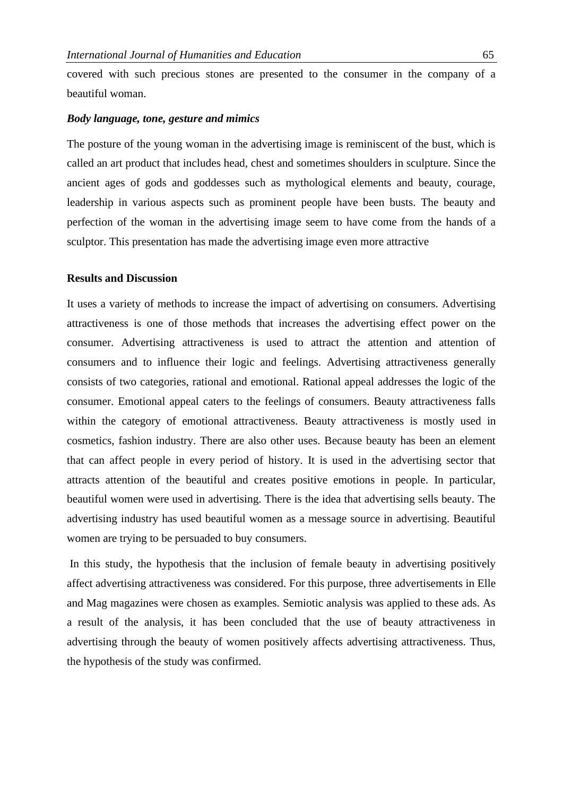covered with such precious stones are presented to the consumer in the company of a beautiful woman.

#### *Body language, tone, gesture and mimics*

The posture of the young woman in the advertising image is reminiscent of the bust, which is called an art product that includes head, chest and sometimes shoulders in sculpture. Since the ancient ages of gods and goddesses such as mythological elements and beauty, courage, leadership in various aspects such as prominent people have been busts. The beauty and perfection of the woman in the advertising image seem to have come from the hands of a sculptor. This presentation has made the advertising image even more attractive

#### **Results and Discussion**

It uses a variety of methods to increase the impact of advertising on consumers. Advertising attractiveness is one of those methods that increases the advertising effect power on the consumer. Advertising attractiveness is used to attract the attention and attention of consumers and to influence their logic and feelings. Advertising attractiveness generally consists of two categories, rational and emotional. Rational appeal addresses the logic of the consumer. Emotional appeal caters to the feelings of consumers. Beauty attractiveness falls within the category of emotional attractiveness. Beauty attractiveness is mostly used in cosmetics, fashion industry. There are also other uses. Because beauty has been an element that can affect people in every period of history. It is used in the advertising sector that attracts attention of the beautiful and creates positive emotions in people. In particular, beautiful women were used in advertising. There is the idea that advertising sells beauty. The advertising industry has used beautiful women as a message source in advertising. Beautiful women are trying to be persuaded to buy consumers.

In this study, the hypothesis that the inclusion of female beauty in advertising positively affect advertising attractiveness was considered. For this purpose, three advertisements in Elle and Mag magazines were chosen as examples. Semiotic analysis was applied to these ads. As a result of the analysis, it has been concluded that the use of beauty attractiveness in advertising through the beauty of women positively affects advertising attractiveness. Thus, the hypothesis of the study was confirmed.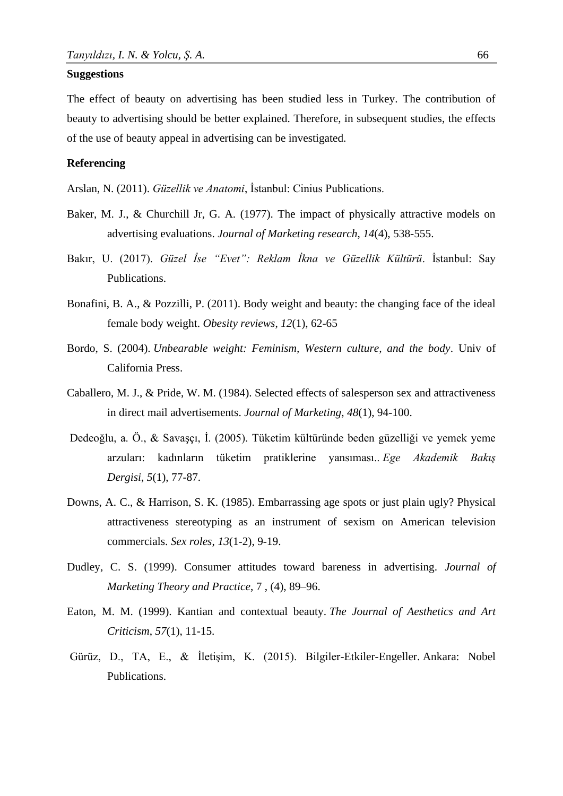#### **Suggestions**

The effect of beauty on advertising has been studied less in Turkey. The contribution of beauty to advertising should be better explained. Therefore, in subsequent studies, the effects of the use of beauty appeal in advertising can be investigated.

## **Referencing**

Arslan, N. (2011). *Güzellik ve Anatomi*, İstanbul: Cinius Publications.

- Baker, M. J., & Churchill Jr, G. A. (1977). The impact of physically attractive models on advertising evaluations. *Journal of Marketing research*, *14*(4), 538-555.
- Bakır, U. (2017). *Güzel İse "Evet": Reklam İkna ve Güzellik Kültürü*. İstanbul: Say Publications.
- Bonafini, B. A., & Pozzilli, P. (2011). Body weight and beauty: the changing face of the ideal female body weight. *Obesity reviews*, *12*(1), 62-65
- Bordo, S. (2004). *Unbearable weight: Feminism, Western culture, and the body*. Univ of California Press.
- Caballero, M. J., & Pride, W. M. (1984). Selected effects of salesperson sex and attractiveness in direct mail advertisements. *Journal of Marketing*, *48*(1), 94-100.
- Dedeoğlu, a. Ö., & Savaşçı, İ. (2005). Tüketim kültüründe beden güzelliği ve yemek yeme arzuları: kadınların tüketim pratiklerine yansıması.. *Ege Akademik Bakış Dergisi*, *5*(1), 77-87.
- Downs, A. C., & Harrison, S. K. (1985). Embarrassing age spots or just plain ugly? Physical attractiveness stereotyping as an instrument of sexism on American television commercials. *Sex roles*, *13*(1-2), 9-19.
- Dudley, C. S. (1999). Consumer attitudes toward bareness in advertising. *Journal of Marketing Theory and Practice*, 7 , (4), 89–96.
- Eaton, M. M. (1999). Kantian and contextual beauty. *The Journal of Aesthetics and Art Criticism*, *57*(1), 11-15.
- Gürüz, D., TA, E., & İletişim, K. (2015). Bilgiler-Etkiler-Engeller. Ankara: Nobel Publications.